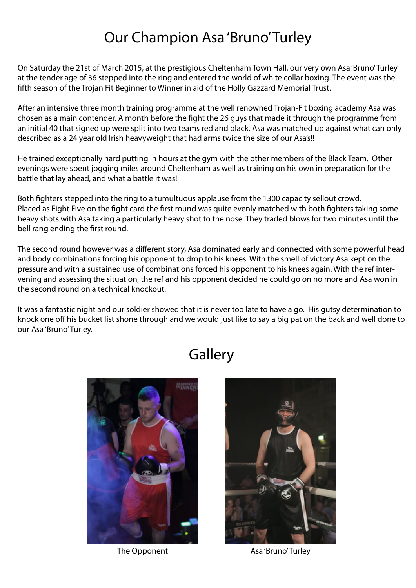## Our Champion Asa 'Bruno' Turley

On Saturday the 21st of March 2015, at the prestigious Cheltenham Town Hall, our very own Asa 'Bruno' Turley at the tender age of 36 stepped into the ring and entered the world of white collar boxing. The event was the fth season of the Trojan Fit Beginner to Winner in aid of the Holly Gazzard Memorial Trust.

After an intensive three month training programme at the well renowned Trojan-Fit boxing academy Asa was chosen as a main contender. A month before the fight the 26 guys that made it through the programme from an initial 40 that signed up were split into two teams red and black. Asa was matched up against what can only described as a 24 year old Irish heavyweight that had arms twice the size of our Asa's!!

He trained exceptionally hard putting in hours at the gym with the other members of the Black Team. Other evenings were spent jogging miles around Cheltenham as well as training on his own in preparation for the battle that lay ahead, and what a battle it was!

Both fighters stepped into the ring to a tumultuous applause from the 1300 capacity sellout crowd. Placed as Fight Five on the fight card the first round was quite evenly matched with both fighters taking some heavy shots with Asa taking a particularly heavy shot to the nose. They traded blows for two minutes until the bell rang ending the first round.

The second round however was a different story, Asa dominated early and connected with some powerful head and body combinations forcing his opponent to drop to his knees. With the smell of victory Asa kept on the pressure and with a sustained use of combinations forced his opponent to his knees again. With the ref intervening and assessing the situation, the ref and his opponent decided he could go on no more and Asa won in the second round on a technical knockout.

It was a fantastic night and our soldier showed that it is never too late to have a go. His gutsy determination to knock one off his bucket list shone through and we would just like to say a big pat on the back and well done to our Asa 'Bruno' Turley.

## **Gallery**





The Opponent Asa 'Bruno' Turley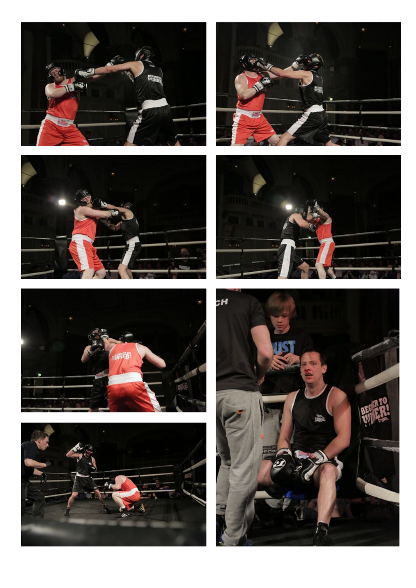











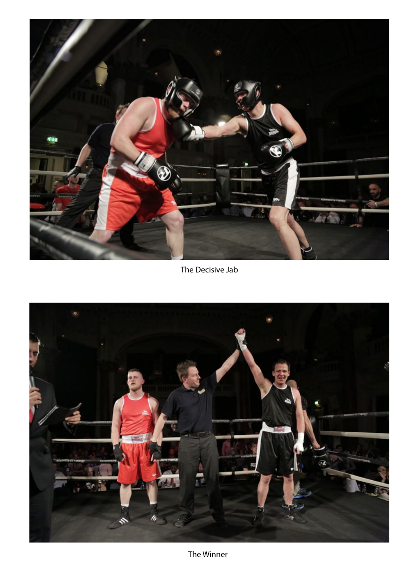

The Decisive Jab